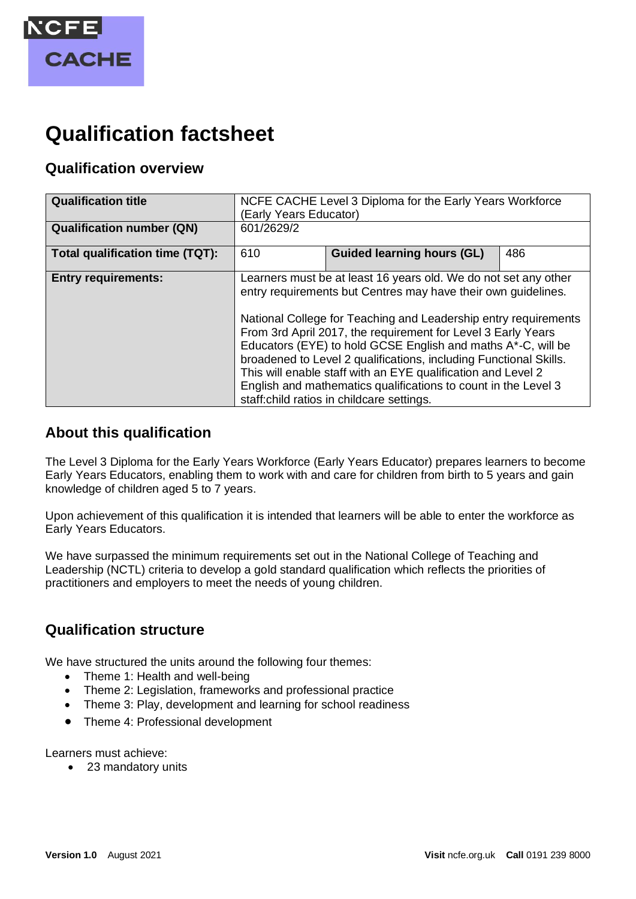

# **Qualification factsheet**

## **Qualification overview**

| <b>Qualification title</b>       | NCFE CACHE Level 3 Diploma for the Early Years Workforce<br>(Early Years Educator)                                                                                                                                                                                                                                                                                                                                                                                                                                                                                                       |                                   |     |
|----------------------------------|------------------------------------------------------------------------------------------------------------------------------------------------------------------------------------------------------------------------------------------------------------------------------------------------------------------------------------------------------------------------------------------------------------------------------------------------------------------------------------------------------------------------------------------------------------------------------------------|-----------------------------------|-----|
| <b>Qualification number (QN)</b> | 601/2629/2                                                                                                                                                                                                                                                                                                                                                                                                                                                                                                                                                                               |                                   |     |
| Total qualification time (TQT):  | 610                                                                                                                                                                                                                                                                                                                                                                                                                                                                                                                                                                                      | <b>Guided learning hours (GL)</b> | 486 |
| <b>Entry requirements:</b>       | Learners must be at least 16 years old. We do not set any other<br>entry requirements but Centres may have their own guidelines.<br>National College for Teaching and Leadership entry requirements<br>From 3rd April 2017, the requirement for Level 3 Early Years<br>Educators (EYE) to hold GCSE English and maths A*-C, will be<br>broadened to Level 2 qualifications, including Functional Skills.<br>This will enable staff with an EYE qualification and Level 2<br>English and mathematics qualifications to count in the Level 3<br>staff: child ratios in childcare settings. |                                   |     |

## **About this qualification**

The Level 3 Diploma for the Early Years Workforce (Early Years Educator) prepares learners to become Early Years Educators, enabling them to work with and care for children from birth to 5 years and gain knowledge of children aged 5 to 7 years.

Upon achievement of this qualification it is intended that learners will be able to enter the workforce as Early Years Educators.

We have surpassed the minimum requirements set out in the National College of Teaching and Leadership (NCTL) criteria to develop a gold standard qualification which reflects the priorities of practitioners and employers to meet the needs of young children.

## **Qualification structure**

We have structured the units around the following four themes:

- Theme 1: Health and well-being
- Theme 2: Legislation, frameworks and professional practice
- Theme 3: Play, development and learning for school readiness
- Theme 4: Professional development

Learners must achieve:

• 23 mandatory units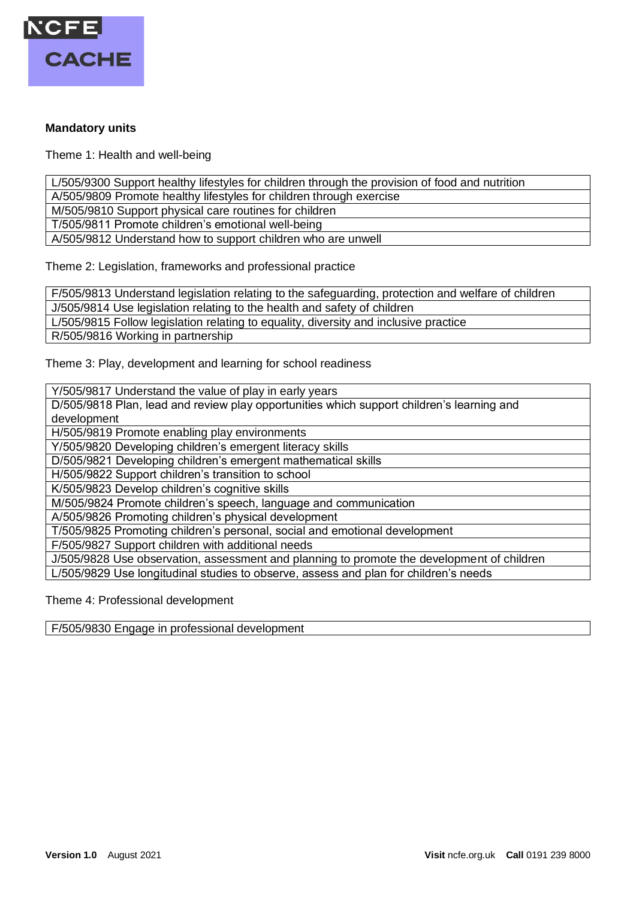

#### **Mandatory units**

Theme 1: Health and well-being

L/505/9300 Support healthy lifestyles for children through the provision of food and nutrition

A/505/9809 Promote healthy lifestyles for children through exercise

M/505/9810 Support physical care routines for children

T/505/9811 Promote children's emotional well-being

A/505/9812 Understand how to support children who are unwell

Theme 2: Legislation, frameworks and professional practice

F/505/9813 Understand legislation relating to the safeguarding, protection and welfare of children

J/505/9814 Use legislation relating to the health and safety of children

L/505/9815 Follow legislation relating to equality, diversity and inclusive practice

R/505/9816 Working in partnership

Theme 3: Play, development and learning for school readiness

Y/505/9817 Understand the value of play in early years

D/505/9818 Plan, lead and review play opportunities which support children's learning and development

H/505/9819 Promote enabling play environments

Y/505/9820 Developing children's emergent literacy skills

D/505/9821 Developing children's emergent mathematical skills

H/505/9822 Support children's transition to school

K/505/9823 Develop children's cognitive skills

M/505/9824 Promote children's speech, language and communication

A/505/9826 Promoting children's physical development

T/505/9825 Promoting children's personal, social and emotional development

F/505/9827 Support children with additional needs

J/505/9828 Use observation, assessment and planning to promote the development of children L/505/9829 Use longitudinal studies to observe, assess and plan for children's needs

Theme 4: Professional development

F/505/9830 Engage in professional development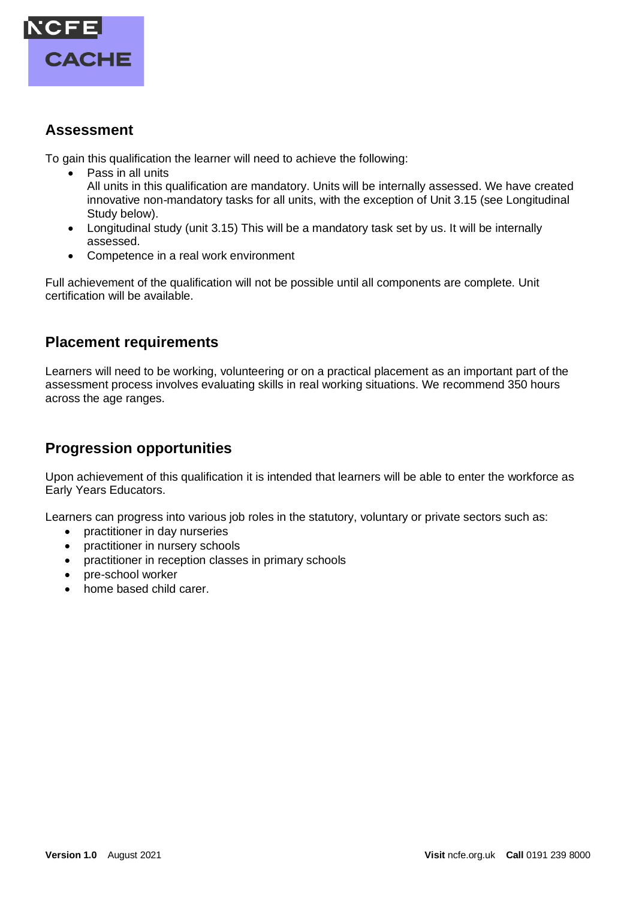

## **Assessment**

To gain this qualification the learner will need to achieve the following:

- Pass in all units All units in this qualification are mandatory. Units will be internally assessed. We have created innovative non-mandatory tasks for all units, with the exception of Unit 3.15 (see Longitudinal Study below).
- Longitudinal study (unit 3.15) This will be a mandatory task set by us. It will be internally assessed.
- Competence in a real work environment

Full achievement of the qualification will not be possible until all components are complete. Unit certification will be available.

#### **Placement requirements**

Learners will need to be working, volunteering or on a practical placement as an important part of the assessment process involves evaluating skills in real working situations. We recommend 350 hours across the age ranges.

## **Progression opportunities**

Upon achievement of this qualification it is intended that learners will be able to enter the workforce as Early Years Educators.

Learners can progress into various job roles in the statutory, voluntary or private sectors such as:

- practitioner in day nurseries
- practitioner in nursery schools
- practitioner in reception classes in primary schools
- pre-school worker
- home based child carer.